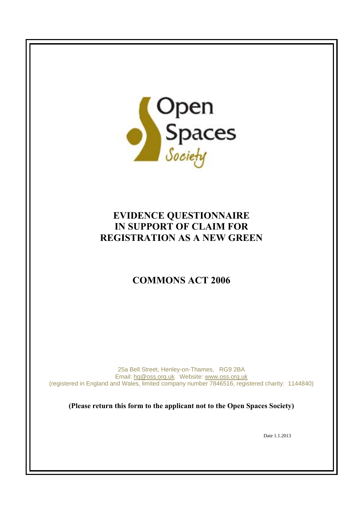

# **EVIDENCE QUESTIONNAIRE IN SUPPORT OF CLAIM FOR REGISTRATION AS A NEW GREEN**

# **COMMONS ACT 2006**

25a Bell Street, Henley-on-Thames, RG9 2BA Email: hq@oss.org.uk Website: www.oss.org.uk (registered in England and Wales, limited company number 7846516, registered charity: 1144840)

**(Please return this form to the applicant not to the Open Spaces Society)** 

Date 1.1.2013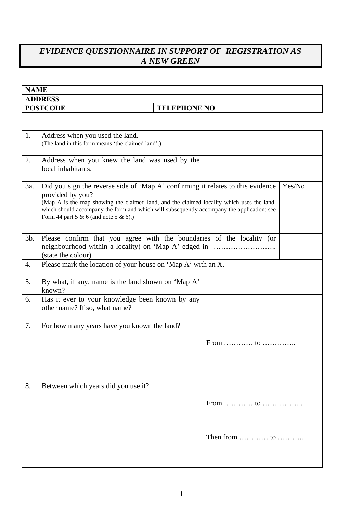### *EVIDENCE QUESTIONNAIRE IN SUPPORT OF REGISTRATION AS A NEW GREEN*

| <b>NAME</b>     |                     |
|-----------------|---------------------|
| <b>ADDRESS</b>  |                     |
| <b>POSTCODE</b> | <b>TELEPHONE NO</b> |

| 1.     | Address when you used the land.<br>(The land in this form means 'the claimed land'.)                                                                                                                                                                                                                                                              |                                                |  |  |  |
|--------|---------------------------------------------------------------------------------------------------------------------------------------------------------------------------------------------------------------------------------------------------------------------------------------------------------------------------------------------------|------------------------------------------------|--|--|--|
| 2.     | Address when you knew the land was used by the<br>local inhabitants.                                                                                                                                                                                                                                                                              |                                                |  |  |  |
| 3a.    | Did you sign the reverse side of 'Map A' confirming it relates to this evidence<br>Yes/No<br>provided by you?<br>(Map A is the map showing the claimed land, and the claimed locality which uses the land,<br>which should accompany the form and which will subsequently accompany the application: see<br>Form 44 part 5 & 6 (and note 5 & 6).) |                                                |  |  |  |
| $3b$ . | Please confirm that you agree with the boundaries of the locality (or<br>(state the colour)                                                                                                                                                                                                                                                       |                                                |  |  |  |
| 4.     | Please mark the location of your house on 'Map A' with an X.                                                                                                                                                                                                                                                                                      |                                                |  |  |  |
| 5.     | By what, if any, name is the land shown on 'Map A'<br>known?                                                                                                                                                                                                                                                                                      |                                                |  |  |  |
| 6.     | Has it ever to your knowledge been known by any<br>other name? If so, what name?                                                                                                                                                                                                                                                                  |                                                |  |  |  |
| 7.     | For how many years have you known the land?                                                                                                                                                                                                                                                                                                       | From  to                                       |  |  |  |
| 8.     | Between which years did you use it?                                                                                                                                                                                                                                                                                                               | From<br>to                                     |  |  |  |
|        |                                                                                                                                                                                                                                                                                                                                                   | Then from $\dots \dots \dots$ to $\dots \dots$ |  |  |  |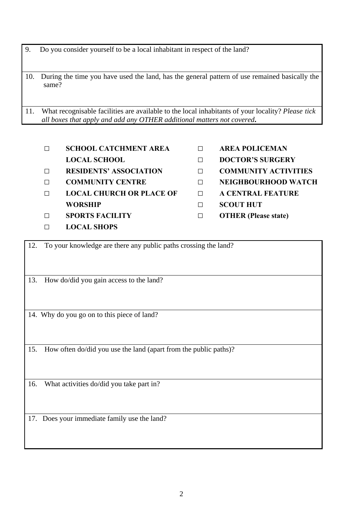9. Do you consider yourself to be a local inhabitant in respect of the land?

10. During the time you have used the land, has the general pattern of use remained basically the same?

11. What recognisable facilities are available to the local inhabitants of your locality? *Please tick all boxes that apply and add any OTHER additional matters not covered***.** 

- **□ SCHOOL CATCHMENT AREA □ AREA POLICEMAN**
- 
- 
- **□ LOCAL CHURCH OR PLACE OF □ A CENTRAL FEATURE WORSHIP □ SCOUT HUT**
- **□ SPORTS FACILITY □ OTHER (Please state)**
- **□ LOCAL SHOPS**
- 
- **LOCAL SCHOOL □ DOCTOR'S SURGERY**
- **□ RESIDENTS' ASSOCIATION □ COMMUNITY ACTIVITIES**
- **□ COMMUNITY CENTRE □ NEIGHBOURHOOD WATCH** 
	-
	-
	-

12. To your knowledge are there any public paths crossing the land?

13. How do/did you gain access to the land?

14. Why do you go on to this piece of land?

15. How often do/did you use the land (apart from the public paths)?

16. What activities do/did you take part in?

17. Does your immediate family use the land?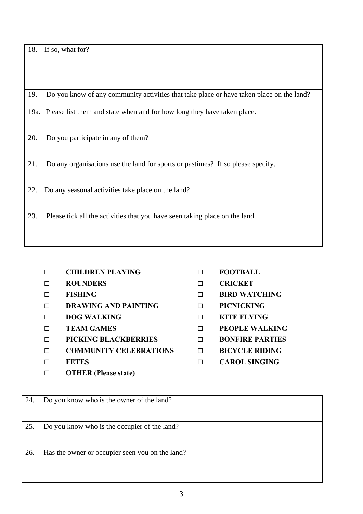18. If so, what for?

19. Do you know of any community activities that take place or have taken place on the land?

19a. Please list them and state when and for how long they have taken place.

20. Do you participate in any of them?

21. Do any organisations use the land for sports or pastimes? If so please specify.

22. Do any seasonal activities take place on the land?

23. Please tick all the activities that you have seen taking place on the land.

- **□ CHILDREN PLAYING □ FOOTBALL**
- **□ ROUNDERS □ CRICKET**
- 
- **□ DRAWING AND PAINTING □ PICNICKING**
- **□ DOG WALKING □ KITE FLYING**
- 
- **□ PICKING BLACKBERRIES □ BONFIRE PARTIES**
- **□ COMMUNITY CELEBRATIONS □ BICYCLE RIDING**
- 
- **□ OTHER (Please state)**
- 
- 
- **□ FISHING □ BIRD WATCHING** 
	-
	-
- **□ TEAM GAMES □ PEOPLE WALKING** 
	-
	-
- **□ FETES □ CAROL SINGING**

25. Do you know who is the occupier of the land?

24. Do you know who is the owner of the land?

26. Has the owner or occupier seen you on the land?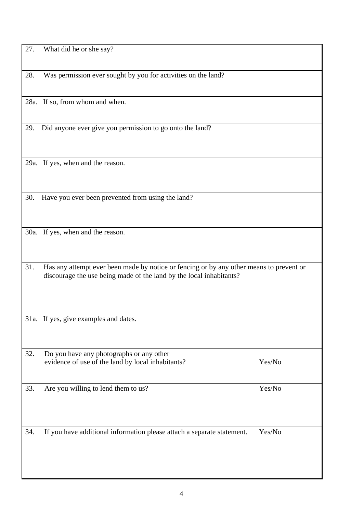4

| 28. | Was permission ever sought by you for activities on the land?                                                                                                  |        |  |  |
|-----|----------------------------------------------------------------------------------------------------------------------------------------------------------------|--------|--|--|
|     | 28a. If so, from whom and when.                                                                                                                                |        |  |  |
| 29. | Did anyone ever give you permission to go onto the land?                                                                                                       |        |  |  |
|     | 29a. If yes, when and the reason.                                                                                                                              |        |  |  |
| 30. | Have you ever been prevented from using the land?                                                                                                              |        |  |  |
|     | 30a. If yes, when and the reason.                                                                                                                              |        |  |  |
| 31. | Has any attempt ever been made by notice or fencing or by any other means to prevent or<br>discourage the use being made of the land by the local inhabitants? |        |  |  |
|     | 31a. If yes, give examples and dates.                                                                                                                          |        |  |  |
| 32. | Do you have any photographs or any other<br>evidence of use of the land by local inhabitants?                                                                  | Yes/No |  |  |
| 33. | Are you willing to lend them to us?                                                                                                                            | Yes/No |  |  |
| 34. | If you have additional information please attach a separate statement.                                                                                         | Yes/No |  |  |
|     |                                                                                                                                                                |        |  |  |

27. What did he or she say?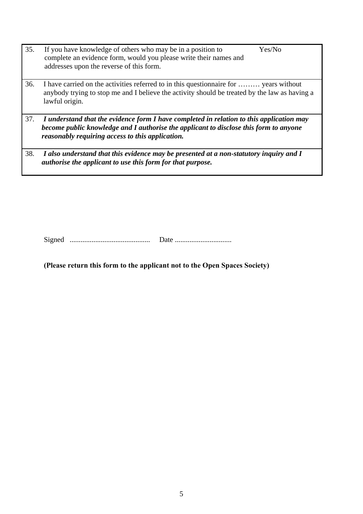- 35. If you have knowledge of others who may be in a position to complete an evidence form, would you please write their names and addresses upon the reverse of this form. Yes/No
- 36. I have carried on the activities referred to in this questionnaire for ……… years without anybody trying to stop me and I believe the activity should be treated by the law as having a lawful origin.
- 37. *I understand that the evidence form I have completed in relation to this application may become public knowledge and I authorise the applicant to disclose this form to anyone reasonably requiring access to this application.*
- 38. *I also understand that this evidence may be presented at a non-statutory inquiry and I authorise the applicant to use this form for that purpose.*

Signed ............................................ Date ...............................

**(Please return this form to the applicant not to the Open Spaces Society)**